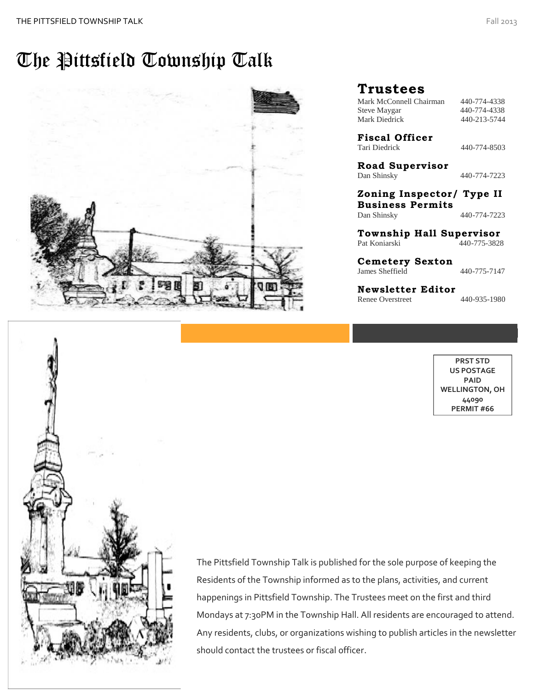### The Pittsfield Township Talk





Mondays at 7:30PM in the Township Hall. All residents are encouraged to attend.<br>Any residents, clubs, or erganizations wishing to publish articles in the newsletter The Pittsfield Township Talk is published for the sole purpose of keeping the Residents of the Township informed as to the plans, activities, and current happenings in Pittsfield Township. The Trustees meet on the first and third Any residents, clubs, or organizations wishing to publish articles in the newsletter should contact the trustees or fiscal officer.

### **Trustees**

Mark McConnell Chairman 440-774-4338 Steve Maygar 440-774-4338 Mark Diedrick 440-213-5744

**Fiscal Officer** Tari Diedrick 440-774-8503

**Road Supervisor** Dan Shinsky 440-774-7223

**Zoning Inspector/ Type II Business Permits** Dan Shinsky 440-774-7223

**Township Hall Supervisor**  Pat Koniarski 440-775-3828

**Cemetery Sexton** James Sheffield 440-775-7147

**Newsletter Editor** Renee Overstreet 440-935-1980

> $T = \frac{1}{2}$ **PRST STD US POSTAGE PAID WELLINGTON, OH 44090 PERMIT #66**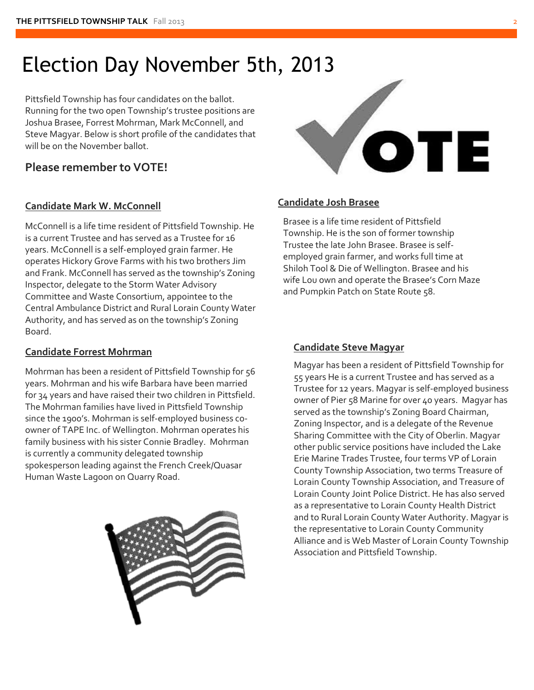### Election Day November 5th, 2013

Pittsfield Township has four candidates on the ballot. Running for the two open Township's trustee positions are Joshua Brasee, Forrest Mohrman, Mark McConnell, and Steve Magyar. Below is short profile of the candidates that will be on the November ballot.

### **Please remember to VOTE!**

### **Candidate Mark W. McConnell**

McConnell is a life time resident of Pittsfield Township. He is a current Trustee and has served as a Trustee for 16 years. McConnell is a self-employed grain farmer. He operates Hickory Grove Farms with his two brothers Jim and Frank. McConnell has served as the township's Zoning Inspector, delegate to the Storm Water Advisory Committee and Waste Consortium, appointee to the Central Ambulance District and Rural Lorain County Water Authority, and has served as on the township's Zoning Board.

### **Candidate Forrest Mohrman**

Mohrman has been a resident of Pittsfield Township for 56 years. Mohrman and his wife Barbara have been married for 34 years and have raised their two children in Pittsfield. The Mohrman families have lived in Pittsfield Township since the 1900's. Mohrman is self-employed business coowner of TAPE Inc. of Wellington. Mohrman operates his family business with his sister Connie Bradley. Mohrman is currently a community delegated township spokesperson leading against the French Creek/Quasar Human Waste Lagoon on Quarry Road.





### **Candidate Josh Brasee**

Brasee is a life time resident of Pittsfield Township. He is the son of former township Trustee the late John Brasee. Brasee is selfemployed grain farmer, and works full time at Shiloh Tool & Die of Wellington. Brasee and his wife Lou own and operate the Brasee's Corn Maze and Pumpkin Patch on State Route 58.

### **Candidate Steve Magyar**

Magyar has been a resident of Pittsfield Township for 55 years He is a current Trustee and has served as a Trustee for 12 years. Magyar is self-employed business owner of Pier 58 Marine for over 40 years. Magyar has served as the township's Zoning Board Chairman, Zoning Inspector, and is a delegate of the Revenue Sharing Committee with the City of Oberlin. Magyar other public service positions have included the Lake Erie Marine Trades Trustee, four terms VP of Lorain County Township Association, two terms Treasure of Lorain County Township Association, and Treasure of Lorain County Joint Police District. He has also served as a representative to Lorain County Health District and to Rural Lorain County Water Authority. Magyar is the representative to Lorain County Community Alliance and is Web Master of Lorain County Township Association and Pittsfield Township.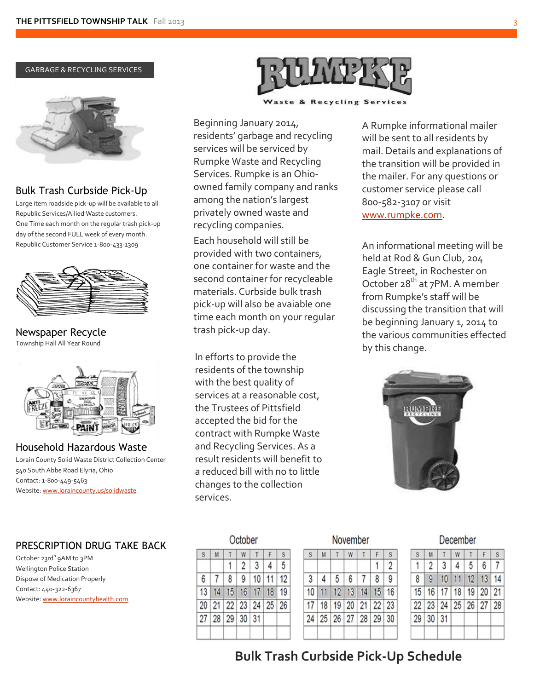



### Bulk Trash Curbside Pick-Up

Large item roadside pick-up will be available to all Republic Services/Allied Waste customers. One Time each month on the regular trash pick-up day of the second FULL week of every month. Republic Customer Service 1-800-433-1309



Newspaper Recycle Township Hall All Year Round



Household Hazardous Waste Lorain County Solid Waste District Collection Center 540 South Abbe Road Elyria, Ohio Contact: 1-800-449-5463 Website[: www.loraincounty.us/solidwaste](http://www.loraincounty.us/solidwaste)

### PRESCRIPTION DRUG TAKE BACK

October 23rd<sup>h</sup> 9AM to 3PM Wellington Police Station Dispose of Medication Properly Contact: 440-322-6367 Website[: www.loraincountyhealth.com](http://www.loraincountyhealth.com/)



& Recycling Services

Beginning January 2014, residents' garbage and recycling services will be serviced by Rumpke Waste and Recycling Services. Rumpke is an Ohioowned family company and ranks among the nation's largest privately owned waste and recycling companies. Each household will still be provided with two containers, one container for waste and the second container for recycleable materials. Curbside bulk trash pick-up will also be avaiable one time each month on your regular trash pick-up day.

In efforts to provide the residents of the township with the best quality of services at a reasonable cost, the Trustees of Pittsfield accepted the bid for the contract with Rumpke Waste and Recycling Services. As a result residents will benefit to a reduced bill with no to little changes to the collection services.

A Rumpke informational mailer will be sent to all residents by mail. Details and explanations of the transition will be provided in the mailer. For any questions or customer service please call 800-582-3107 or visit [www.rumpke.com.](http://www.rumpke.com/)

An informational meeting will be held at Rod & Gun Club, 204 Eagle Street, in Rochester on October 28<sup>th</sup> at 7PM. A member from Rumpke's staff will be discussing the transition that will be beginning January 1, 2014 to the various communities effected by this change.



|    |    |                | October        |                   |    |                         |
|----|----|----------------|----------------|-------------------|----|-------------------------|
| S  | M  |                |                |                   |    | $\overline{\mathbf{s}}$ |
|    |    |                | $\overline{2}$ | 3                 | 4  | 5                       |
| 6  |    | $\overline{8}$ | 9              | 10                | 11 | 12                      |
| 13 | 14 | 15             | 16             | 17                | 18 | 19                      |
| 20 |    |                |                | 21 22 23 24 25 26 |    |                         |
| 27 | 28 |                | 29 30 31       |                   |    |                         |
|    |    |                |                |                   |    |                         |

|    |    |   |   | November          |   |                |
|----|----|---|---|-------------------|---|----------------|
| S  |    |   |   |                   |   | S              |
|    |    |   |   |                   |   | $\overline{2}$ |
| 3  | 4  | 5 | 6 | $\overline{7}$    | 8 | 9              |
| 10 |    |   |   | 11 12 13 14 15 16 |   |                |
| 17 | 18 |   |   | 19 20 21 22 23    |   |                |
| 24 |    |   |   | 25 26 27 28 29 30 |   |                |
|    |    |   |   |                   |   |                |

| December |  |  |
|----------|--|--|

| S            | M                                |     | W |                  |  | S              |  |  |
|--------------|----------------------------------|-----|---|------------------|--|----------------|--|--|
| $\mathbf{1}$ | $\overline{2}$                   | 3 4 |   | 56               |  | $\overline{7}$ |  |  |
| 8            |                                  |     |   | 9 10 11 12 13 14 |  |                |  |  |
|              | 15   16   17   18   19   20   21 |     |   |                  |  |                |  |  |
|              | 22 23 24 25 26 27 28             |     |   |                  |  |                |  |  |
|              | 29 30 31                         |     |   |                  |  |                |  |  |
|              |                                  |     |   |                  |  |                |  |  |

### **Cooking Safety Bulk Trash Curbside Pick-Up Schedule**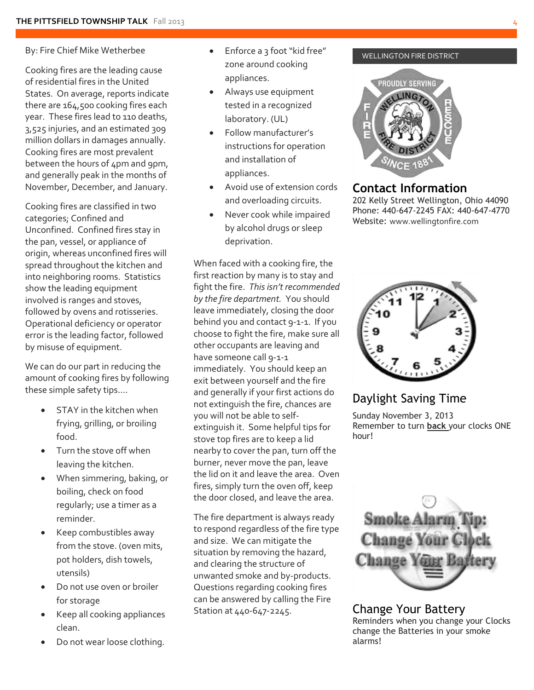#### By: Fire Chief Mike Wetherbee

Cooking fires are the leading cause of residential fires in the United States. On average, reports indicate there are 164,500 cooking fires each year. These fires lead to 110 deaths, 3,525 injuries, and an estimated 309 million dollars in damages annually. Cooking fires are most prevalent between the hours of 4pm and 9pm, and generally peak in the months of November, December, and January.

Cooking fires are classified in two categories; Confined and Unconfined. Confined fires stay in the pan, vessel, or appliance of origin, whereas unconfined fires will spread throughout the kitchen and into neighboring rooms. Statistics show the leading equipment involved is ranges and stoves, followed by ovens and rotisseries. Operational deficiency or operator error is the leading factor, followed by misuse of equipment.

We can do our part in reducing the amount of cooking fires by following these simple safety tips….

- STAY in the kitchen when frying, grilling, or broiling food.
- Turn the stove off when leaving the kitchen.
- When simmering, baking, or boiling, check on food regularly; use a timer as a reminder.
- Keep combustibles away from the stove. (oven mits, pot holders, dish towels, utensils)
- Do not use oven or broiler for storage
- Keep all cooking appliances clean.
- Do not wear loose clothing.
- Enforce a 3 foot "kid free" zone around cooking appliances.
- Always use equipment tested in a recognized laboratory. (UL)
- Follow manufacturer's instructions for operation and installation of appliances.
- Avoid use of extension cords and overloading circuits.
- Never cook while impaired by alcohol drugs or sleep deprivation.

When faced with a cooking fire, the first reaction by many is to stay and fight the fire. *This isn't recommended by the fire department.* You should leave immediately, closing the door behind you and contact 9-1-1. If you choose to fight the fire, make sure all other occupants are leaving and have someone call 9-1-1 immediately. You should keep an exit between yourself and the fire and generally if your first actions do not extinguish the fire, chances are you will not be able to selfextinguish it. Some helpful tips for stove top fires are to keep a lid nearby to cover the pan, turn off the burner, never move the pan, leave the lid on it and leave the area. Oven fires, simply turn the oven off, keep the door closed, and leave the area.

The fire department is always ready to respond regardless of the fire type and size. We can mitigate the situation by removing the hazard, and clearing the structure of unwanted smoke and by-products. Questions regarding cooking fires can be answered by calling the Fire Station at 440-647-2245.

#### WELLINGTON FIRE DISTRICT



### **Contact Information**

202 Kelly Street Wellington, Ohio 44090 Phone: 440-647-2245 FAX: 440-647-4770 Website: [www.wellingtonfire.com](http://www.wellingtonfire.com/)



### Daylight Saving Time

Sunday November 3, 2013 Remember to turn **back** your clocks ONE hour!



#### Change Your Battery Reminders when you change your Clocks change the Batteries in your smoke alarms!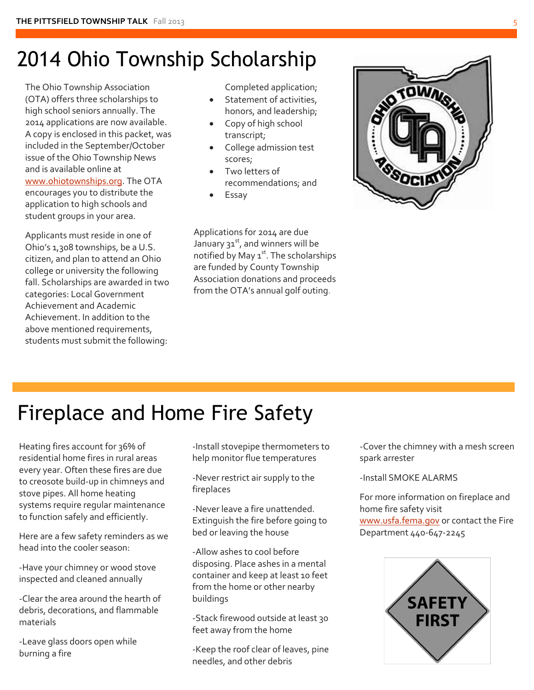# 2014 Ohio Township Scholarship

The Ohio Township Association (OTA) offers three scholarships to high school seniors annually. The 2014 applications are now available. A copy is enclosed in this packet, was included in the September/October issue of the Ohio Township News and is available online at [www.ohiotownships.org.](http://www.ohiotownships.org/) The OTA encourages you to distribute the application to high schools and student groups in your area.

Applicants must reside in one of Ohio's 1,308 townships, be a U.S. citizen, and plan to attend an Ohio college or university the following fall. Scholarships are awarded in two categories: Local Government Achievement and Academic Achievement. In addition to the above mentioned requirements, students must submit the following:

Completed application;

- Statement of activities, honors, and leadership;
- Copy of high school transcript;
- College admission test scores;
- Two letters of recommendations; and
- Essay

Applications for 2014 are due January  $31^{st}$ , and winners will be notified by May  $1<sup>st</sup>$ . The scholarships are funded by County Township Association donations and proceeds from the OTA's annual golf outing.



# Fireplace and Home Fire Safety

Heating fires account for 36% of residential home fires in rural areas every year. Often these fires are due to creosote build-up in chimneys and stove pipes. All home heating systems require regular maintenance to function safely and efficiently.

Here are a few safety reminders as we head into the cooler season:

-Have your chimney or wood stove inspected and cleaned annually

-Clear the area around the hearth of debris, decorations, and flammable materials

-Leave glass doors open while burning a fire

-Install stovepipe thermometers to help monitor flue temperatures

-Never restrict air supply to the fireplaces

-Never leave a fire unattended. Extinguish the fire before going to bed or leaving the house

-Allow ashes to cool before disposing. Place ashes in a mental container and keep at least 10 feet from the home or other nearby buildings

-Stack firewood outside at least 30 feet away from the home

-Keep the roof clear of leaves, pine needles, and other debris

-Cover the chimney with a mesh screen spark arrester

-Install SMOKE ALARMS

For more information on fireplace and home fire safety visit [www.usfa.fema.gov](http://www.usfa.fema.gov/) or contact the Fire Department 440-647-2245

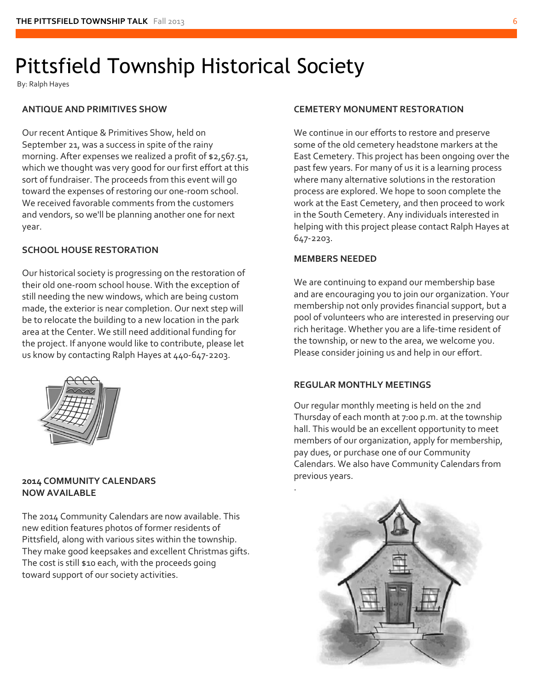# Pittsfield Township Historical Society

By: Ralph Hayes

#### **ANTIQUE AND PRIMITIVES SHOW**

Our recent Antique & Primitives Show, held on September 21, was a success in spite of the rainy morning. After expenses we realized a profit of \$2,567.51, which we thought was very good for our first effort at this sort of fundraiser. The proceeds from this event will go toward the expenses of restoring our one-room school. We received favorable comments from the customers and vendors, so we'll be planning another one for next year.

### **SCHOOL HOUSE RESTORATION**

Our historical society is progressing on the restoration of their old one-room school house. With the exception of still needing the new windows, which are being custom made, the exterior is near completion. Our next step will be to relocate the building to a new location in the park area at the Center. We still need additional funding for the project. If anyone would like to contribute, please let us know by contacting Ralph Hayes at 440-647-2203.



#### **2014 COMMUNITY CALENDARS NOW AVAILABLE**

The 2014 Community Calendars are now available. This new edition features photos of former residents of Pittsfield, along with various sites within the township. They make good keepsakes and excellent Christmas gifts. The cost is still \$10 each, with the proceeds going toward support of our society activities.

#### **CEMETERY MONUMENT RESTORATION**

We continue in our efforts to restore and preserve some of the old cemetery headstone markers at the East Cemetery. This project has been ongoing over the past few years. For many of us it is a learning process where many alternative solutions in the restoration process are explored. We hope to soon complete the work at the East Cemetery, and then proceed to work in the South Cemetery. Any individuals interested in helping with this project please contact Ralph Hayes at 647-2203.

#### **MEMBERS NEEDED**

.

We are continuing to expand our membership base and are encouraging you to join our organization. Your membership not only provides financial support, but a pool of volunteers who are interested in preserving our rich heritage. Whether you are a life-time resident of the township, or new to the area, we welcome you. Please consider joining us and help in our effort.

#### **REGULAR MONTHLY MEETINGS**

Our regular monthly meeting is held on the 2nd Thursday of each month at 7:00 p.m. at the township hall. This would be an excellent opportunity to meet members of our organization, apply for membership, pay dues, or purchase one of our Community Calendars. We also have Community Calendars from previous years.